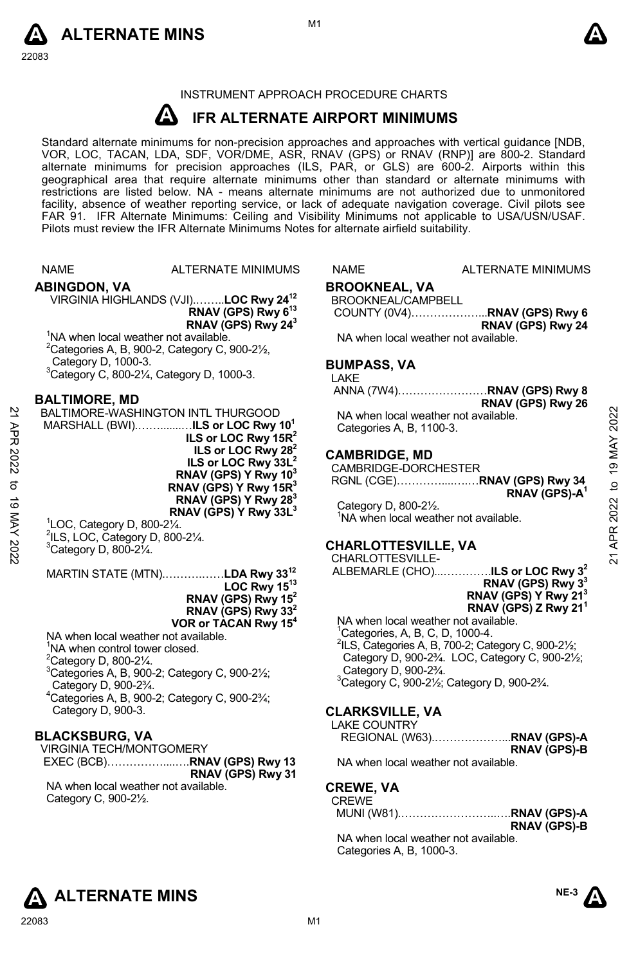



### INSTRUMENT APPROACH PROCEDURE CHARTS

#### **A IFR ALTERNATE AIRPORT MINIMUMS**

Standard alternate minimums for non-precision approaches and approaches with vertical guidance [NDB,<br>VOR, LOC, TACAN, LDA, SDF, VOR/DME, ASR, RNAV (GPS) or RNAV (RNP)] are 800-2. Standard alternate minimums for precision approaches (ILS, PAR, or GLS) are 600-2. Airports within this geographical area that require alternate minimums other than standard or alternate minimums with restrictions are listed below. NA - means alternate minimums are not authorized due to unmonitored facility, absence of weather reporting service, or lack of adequate navigation coverage. Civil pilots see FAR 91. IFR Alternate Minimums: Ceiling and Visibility Minimums not applicable to USA/USN/USAF. Pilots must review the IFR Alternate Minimums Notes for alternate airfield suitability.

|             | <b>NAME</b>                                                                                                                                                                 | ALTERNATE MINIMUMS                                                                                                                                                             | <b>NAME</b>                                    | ALTERNATE MINIMUMS                                                                                                                                                                                                                              |                                       |
|-------------|-----------------------------------------------------------------------------------------------------------------------------------------------------------------------------|--------------------------------------------------------------------------------------------------------------------------------------------------------------------------------|------------------------------------------------|-------------------------------------------------------------------------------------------------------------------------------------------------------------------------------------------------------------------------------------------------|---------------------------------------|
|             | <b>ABINGDON, VA</b>                                                                                                                                                         | VIRGINIA HIGHLANDS (VJI)LOC Rwy 24 <sup>12</sup><br>RNAV (GPS) Rwy 6 <sup>13</sup><br>RNAV (GPS) Rwy 24 <sup>3</sup><br><sup>1</sup> NA when local weather not available.      | <b>BROOKNEAL, VA</b><br>BROOKNEAL/CAMPBELL     | COUNTY (0V4)RNAV (GPS) Rwy 6<br>RNAV (GPS) Rwy 24<br>NA when local weather not available.                                                                                                                                                       |                                       |
|             | Category D, 1000-3.                                                                                                                                                         | <sup>2</sup> Categories A, B, 900-2, Category C, 900-2 $\frac{1}{2}$ ,<br>$3$ Category C, 800-2 $\frac{1}{4}$ , Category D, 1000-3.                                            | <b>BUMPASS, VA</b><br>LAKE                     | ANNA (7W4)RNAV (GPS) Rwy 8                                                                                                                                                                                                                      |                                       |
| 2<br>APR    | <b>BALTIMORE, MD</b>                                                                                                                                                        | BALTIMORE-WASHINGTON INTL THURGOOD<br>MARSHALL (BWI) <b>ILS or LOC Rwy 10</b> <sup>1</sup><br>ILS or LOC Rwy $15R^2$                                                           | Categories A, B, 1100-3.                       | RNAV (GPS) Rwy 26<br>NA when local weather not available.                                                                                                                                                                                       | 2022                                  |
| 2022<br>ಕ   |                                                                                                                                                                             | ILS or LOC Rwy 28 <sup>2</sup><br>ILS or LOC Rwy 33L <sup>2</sup><br>RNAV (GPS) Y Rwy 10 <sup>3</sup><br>RNAV (GPS) Y Rwy 15R <sup>3</sup><br>RNAV (GPS) Y Rwy 28 <sup>3</sup> | <b>CAMBRIDGE, MD</b><br>Category D, 800-21/2.  | CAMBRIDGE-DORCHESTER<br>RNAV (GPS)-A <sup>1</sup>                                                                                                                                                                                               | <b>19 MAY</b><br>$\mathbf{a}$<br>2022 |
| 19 MAY 2022 | ${}^{1}$ LOC, Category D, 800-2 $\frac{1}{4}$ .<br>$2$ ILS, LOC, Category D, 800-2 $\frac{1}{4}$ .<br><sup>3</sup> Category D, 800-21⁄4.                                    | RNAV (GPS) Y Rwy 33L <sup>3</sup>                                                                                                                                              | <b>CHARLOTTESVILLE, VA</b><br>CHARLOTTESVILLE- | <sup>1</sup> NA when local weather not available.                                                                                                                                                                                               | APR.<br>$\overline{21}$               |
|             |                                                                                                                                                                             | MARTIN STATE (MTN)LDA Rwy 33 <sup>12</sup><br>LOC Rwy $15^{13}$<br>RNAV (GPS) Rwy 15 <sup>2</sup><br>RNAV (GPS) Rwy 33 <sup>2</sup><br>VOR or TACAN Rwy 15 <sup>4</sup>        |                                                | ALBEMARLE (CHO)ILS or LOC Rwy 3 <sup>2</sup><br>RNAV (GPS) Rwy 3 <sup>3</sup><br>RNAV (GPS) Y Rwy 21 <sup>3</sup><br>RNAV (GPS) Z Rwy 21 <sup>1</sup><br>NA when local weather not available.                                                   |                                       |
|             | NA when local weather not available.<br><sup>1</sup> NA when control tower closed.<br><sup>2</sup> Category D, 800-21⁄4.<br>Category D, 900-2 <sup>3</sup> / <sub>4</sub> . | $3$ Categories A, B, 900-2; Category C, 900-2 $\frac{1}{2}$ ;                                                                                                                  | Category D, 900-23/4.                          | <sup>1</sup> Categories, A, B, C, D, 1000-4.<br>$2$ ILS, Categories A, B, 700-2; Category C, 900-2 $\frac{1}{2}$ ;<br>Category D, 900-23/4. LOC, Category C, 900-21/2;<br><sup>3</sup> Category C, 900-21/ <sub>2</sub> ; Category D, 900-23/4. |                                       |
|             | Category D, 900-3.                                                                                                                                                          | $4$ Categories A, B, 900-2; Category C, 900-2 $\frac{3}{4}$ ;                                                                                                                  | <b>CLARKSVILLE, VA</b><br><b>LAKE COUNTRY</b>  |                                                                                                                                                                                                                                                 |                                       |

**BLACKSBURG, VA**  VIRGINIA TECH/MONTGOMERY EXEC (BCB)……………....….**RNAV (GPS) Rwy 13 RNAV (GPS) Rwy 31**  NA when local weather not available. Category C, 900-2½.

LAKE COUNTRY REGIONAL (W63).………………...**RNAV (GPS)-A RNAV (GPS)-B**  NA when local weather not available.

#### **CREWE, VA CREWE**

| ᅬᇺᅛ |                     |
|-----|---------------------|
|     |                     |
|     | <b>RNAV (GPS)-B</b> |

NA when local weather not available. Categories A, B, 1000-3.



# **ALTERNATE MINS** ALTERNATE MINS

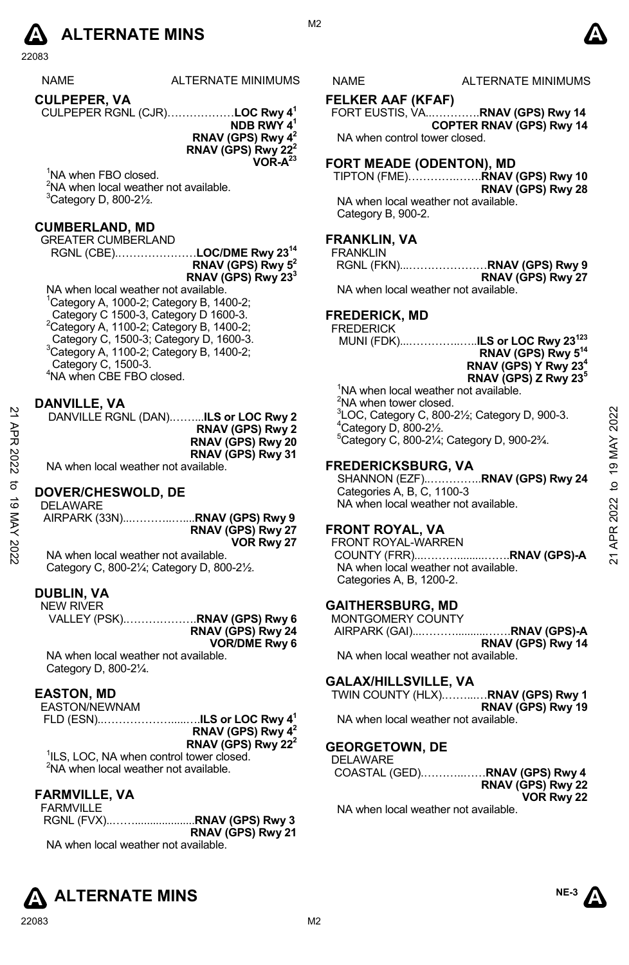

ALTERNATE MINIMUMS NAME ALTERNATE MINIMUMS

**CULPEPER, VA**  CULPEPER RGNL (CJR)………………**LOC Rwy 41 NDB RWY 41** 

**RNAV (GPS) Rwy 42 RNAV (GPS) Rwy 222 VOR-A23** 

<sup>1</sup>NA when FBO closed. <sup>2</sup>NA when local weather not available.  $3$ Category D, 800-2 $\frac{1}{2}$ .

#### **CUMBERLAND, MD**

GREATER CUMBERLAND

RGNL (CBE).…………………**LOC/DME Rwy 2314 RNAV (GPS) Rwy 52**

**RNAV (GPS) Rwy 233**

NA when local weather not available.  ${}^{1}$ Category A, 1000-2; Category B, 1400-2; Category C 1500-3, Category D 1600-3.  $2$ Category A, 1100-2; Category B, 1400-2; Category C, 1500-3; Category D, 1600-3. 3 Category A, 1100-2; Category B, 1400-2; Category C, 1500-3. 4 NA when CBE FBO closed.

#### **DANVILLE, VA**

DANVILLE RGNL (DAN).……...**ILS or LOC Rwy 2 RNAV (GPS) Rwy 2 RNAV (GPS) Rwy 20 RNAV (GPS) Rwy 31**  NA when local weather not available.

# **DOVER/CHESWOLD, DE**

DELAWARE AIRPARK (33N)...………..…....**RNAV (GPS) Rwy 9 RNAV (GPS) Rwy 27 VOR Rwy 27**  NA when local weather not available. 21 APR 2022 to 19 MAY 202221 APR 2022 to 19 MAY 2022

Category C, 800-2¼; Category D, 800-2½.

#### **DUBLIN, VA**

NEW RIVER VALLEY (PSK).……………….**RNAV (GPS) Rwy 6 RNAV (GPS) Rwy 24 VOR/DME Rwy 6** 

NA when local weather not available. Category D, 800-2¼.

#### **EASTON, MD**

EASTON/NEWNAM

 FLD (ESN)..……………….....….**ILS or LOC Rwy 41 RNAV (GPS) Rwy 42** 

**RNAV (GPS) Rwy 222** 

<sup>1</sup>ILS, LOC, NA when control tower closed. <sup>2</sup>NA when local weather not available.

#### **FARMVILLE, VA**

FARMVILLE RGNL (FVX)..……....................**RNAV (GPS) Rwy 3 RNAV (GPS) Rwy 21**  NA when local weather not available.

**FELKER AAF (KFAF)** 

FORT EUSTIS, VA..………….**RNAV (GPS) Rwy 14 COPTER RNAV (GPS) Rwy 14**  NA when control tower closed.

#### **FORT MEADE (ODENTON), MD**

TIPTON (FME)………….…….**RNAV (GPS) Rwy 10 RNAV (GPS) Rwy 28**  NA when local weather not available.

Category B, 900-2.

#### **FRANKLIN, VA**

FRANKLIN RGNL (FKN)...…………………**RNAV (GPS) Rwy 9 RNAV (GPS) Rwy 27** 

NA when local weather not available.

#### **FREDERICK, MD**

FREDERICK

MUNI (FDK)...…………..…..**ILS or LOC Rwy 23123 RNAV (GPS) Rwy 514 RNAV (GPS) Y Rwy 234 RNAV (GPS) Z Rwy 235**

<sup>1</sup>NA when local weather not available. <sup>2</sup>NA when tower closed.  ${}^{3}$ LOC, Category C, 800-21/<sub>2</sub>; Category D, 900-3.  $4$ Category D, 800-2 $\frac{1}{2}$ . 5 Category C, 800-2¼; Category D, 900-2¾.

#### **FREDERICKSBURG, VA**

SHANNON (EZF)..…………..**RNAV (GPS) Rwy 24**  Categories A, B, C, 1100-3 NA when local weather not available.

# **FRONT ROYAL, VA**

FRONT ROYAL-WARREN COUNTY (FRR)...……….........…….**RNAV (GPS)-A**  NA when local weather not available. Categories A, B, 1200-2.

# **GAITHERSBURG, MD**

MONTGOMERY COUNTY AIRPARK (GAI)...………..........…….**RNAV (GPS)-A RNAV (GPS) Rwy 14** 

NA when local weather not available.

### **GALAX/HILLSVILLE, VA**

TWIN COUNTY (HLX).……...…**RNAV (GPS) Rwy 1 RNAV (GPS) Rwy 19**  NA when local weather not available.

# **GEORGETOWN, DE**

DELAWARE COASTAL (GED).………..……**RNAV (GPS) Rwy 4 RNAV (GPS) Rwy 22 VOR Rwy 22** 

NA when local weather not available.







M<sub>2</sub>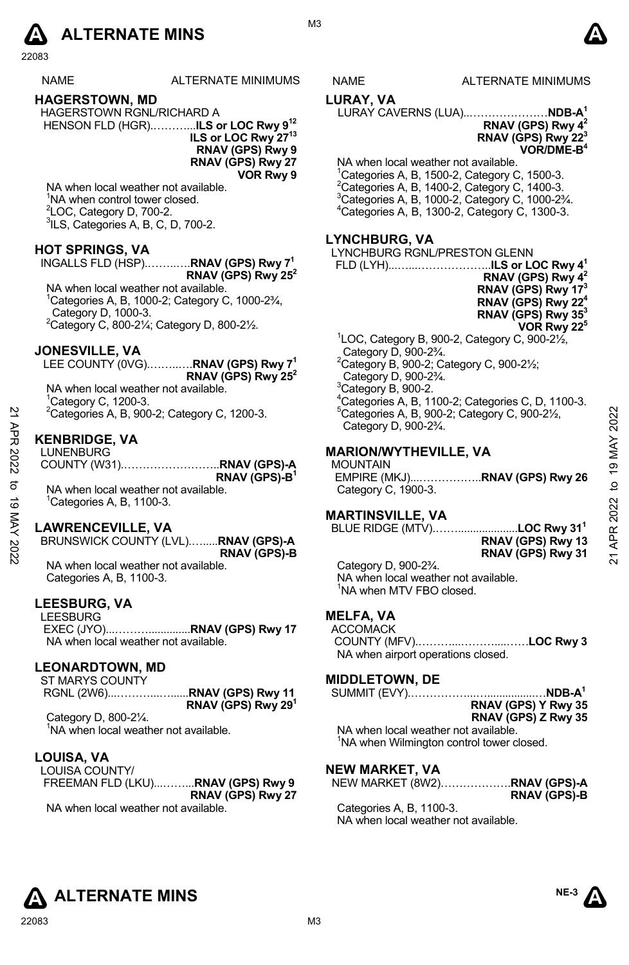

#### NAME ALTERNATE MINIMUMS NAME ALTERNATE MINIMUMS

### **HAGERSTOWN, MD**

HAGERSTOWN RGNL/RICHARD A HENSON FLD (HGR).………...**ILS or LOC Rwy 912**

**ILS or LOC Rwy 2713 RNAV (GPS) Rwy 9 RNAV (GPS) Rwy 27 VOR Rwy 9** 

NA when local weather not available. <sup>1</sup>NA when control tower closed.  $2$ LOC, Category D, 700-2. 3 ILS, Categories A, B, C, D, 700-2.

### **HOT SPRINGS, VA**

#### INGALLS FLD (HSP).……..….**RNAV (GPS) Rwy 71 RNAV (GPS) Rwy 252**

NA when local weather not available.  $1$ Categories A, B, 1000-2; Category C, 1000-2 $\frac{3}{4}$ , Category D, 1000-3. 2 Category C, 800-2¼; Category D, 800-2½.

#### **JONESVILLE, VA**

| LEE COUNTY (0VG)RNAV (GPS) Rwy 7 <sup>1</sup>          |                       |
|--------------------------------------------------------|-----------------------|
|                                                        | RNAV (GPS) Rwy $25^2$ |
| NA when local weather not available.<br>$101$ $010000$ |                       |

<sup>1</sup>Category C, 1200-3.  $2$ Categories A, B, 900-2; Category C, 1200-3.

#### **KENBRIDGE, VA**

| ⊵    | <sup>2</sup> Categories A, B, 900-2; Category C, 1200-3.                                                                                                         | $5$ Categories A, B, 900-2; Category C, 900-2 $\frac{1}{2}$ ,<br>Category D, 900-23/4. | 2022            |
|------|------------------------------------------------------------------------------------------------------------------------------------------------------------------|----------------------------------------------------------------------------------------|-----------------|
| 렆    | <b>KENBRIDGE, VA</b>                                                                                                                                             |                                                                                        |                 |
|      | <b>LUNENBURG</b>                                                                                                                                                 | <b>MARION/WYTHEVILLE, VA</b>                                                           |                 |
| 2022 |                                                                                                                                                                  | <b>MOUNTAIN</b>                                                                        | $\overline{9}$  |
|      | RNAV (GPS)-B <sup>1</sup>                                                                                                                                        | EMPIRE (MKJ)RNAV (GPS) Rwy 26                                                          |                 |
| ಕ    | NA when local weather not available.                                                                                                                             | Category C, 1900-3.                                                                    | ₫               |
| ಕ    | <sup>1</sup> Categories A, B, 1100-3.                                                                                                                            |                                                                                        | 2022            |
| ⋚    |                                                                                                                                                                  | <b>MARTINSVILLE, VA</b>                                                                |                 |
|      | <b>LAWRENCEVILLE, VA</b>                                                                                                                                         | BLUE RIDGE (MTV)LOC Rwy 31 <sup>1</sup>                                                |                 |
|      | BRUNSWICK COUNTY (LVL)RNAV (GPS)-A                                                                                                                               | RNAV (GPS) Rwy 13                                                                      | <b>APR</b>      |
| 2022 | <b>RNAV (GPS)-B</b>                                                                                                                                              | RNAV (GPS) Rwy 31                                                                      | $\overline{21}$ |
|      | $\mathbf{A}$ , $\mathbf{A}$ , and $\mathbf{A}$ , and $\mathbf{A}$ , and $\mathbf{A}$ , and $\mathbf{A}$ , and $\mathbf{A}$ , and $\mathbf{A}$ , and $\mathbf{A}$ | 0.11111000001                                                                          |                 |

#### **LAWRENCEVILLE, VA**

NA when local weather not available. Categories A, B, 1100-3.

#### **LEESBURG, VA**

LEESBURG EXEC (JYO)...………..............**RNAV (GPS) Rwy 17**  NA when local weather not available.

# **LEONARDTOWN, MD**

ST MARYS COUNTY RGNL (2W6)...………...…......**RNAV (GPS) Rwy 11 RNAV (GPS) Rwy 291** 

Category D, 800-2¼.

<sup>1</sup>NA when local weather not available.

### **LOUISA, VA**

LOUISA COUNTY/ FREEMAN FLD (LKU)...……...**RNAV (GPS) Rwy 9 RNAV (GPS) Rwy 27** 

NA when local weather not available.

#### **LURAY, VA**

LURAY CAVERNS (LUA)..…………………**NDB-A1**

#### **RNAV (GPS) Rwy 42 RNAV (GPS) Rwy 223**

# **VOR/DME-B4**

NA when local weather not available.  $1$ Categories A, B, 1500-2, Category C, 1500-3. <sup>2</sup> Categories A, B, 1400-2, Category C, 1400-3.<br><sup>3</sup> Categories A, B, 1000-2, Category C, 1000-2¾.<br><sup>4</sup> Cetegories A, B, 1200-2, Cetegory C, 1200-2 Categories A, B, 1300-2, Category C, 1300-3.

#### **LYNCHBURG, VA**

LYNCHBURG RGNL/PRESTON GLENN FLD (LYH)...…...………………..**ILS or LOC Rwy 41 RNAV (GPS) Rwy 42 RNAV (GPS) Rwy 173 RNAV (GPS) Rwy 224**

- **RNAV (GPS) Rwy 353 VOR Rwy 225**
- $1$ LOC, Category B, 900-2, Category C, 900-2 $\frac{1}{2}$ , Category D, 900-2¾. 2 Category B, 900-2; Category C, 900-2½; Category D, 900-2¾.  $3$ Category B, 900-2. <sup>4</sup> Categories A, B, 1100-2; Categories C, D, 1100-3.  $5$ Categories A, B, 900-2; Category C, 900-2 $\frac{1}{2}$ , Category D, 900-2¾.

#### **MARION/WYTHEVILLE, VA**

#### MOUNTAIN

#### **MARTINSVILLE, VA**

**RNAV (GPS) Rwy 31**  Category D, 900-2¾. NA when local weather not available. <sup>1</sup>NA when MTV FBO closed.

### **MELFA, VA**

ACCOMACK COUNTY (MFV).………...………....……**LOC Rwy 3** NA when airport operations closed.

#### **MIDDLETOWN, DE**

|  | RNAV (GPS) Y Rwy 35 |
|--|---------------------|
|  | RNAV (GPS) Z Rwy 35 |

NA when local weather not available. <sup>1</sup>NA when Wilmington control tower closed.

### **NEW MARKET, VA**

| NEW MARKET (8W2)RNAV (GPS)-A |                     |
|------------------------------|---------------------|
|                              | <b>RNAV (GPS)-B</b> |

Categories A, B, 1100-3. NA when local weather not available.

# **ALTERNATE MINS**  $^{\text{NE-3}}$   $\Lambda$

22083 M3

M3

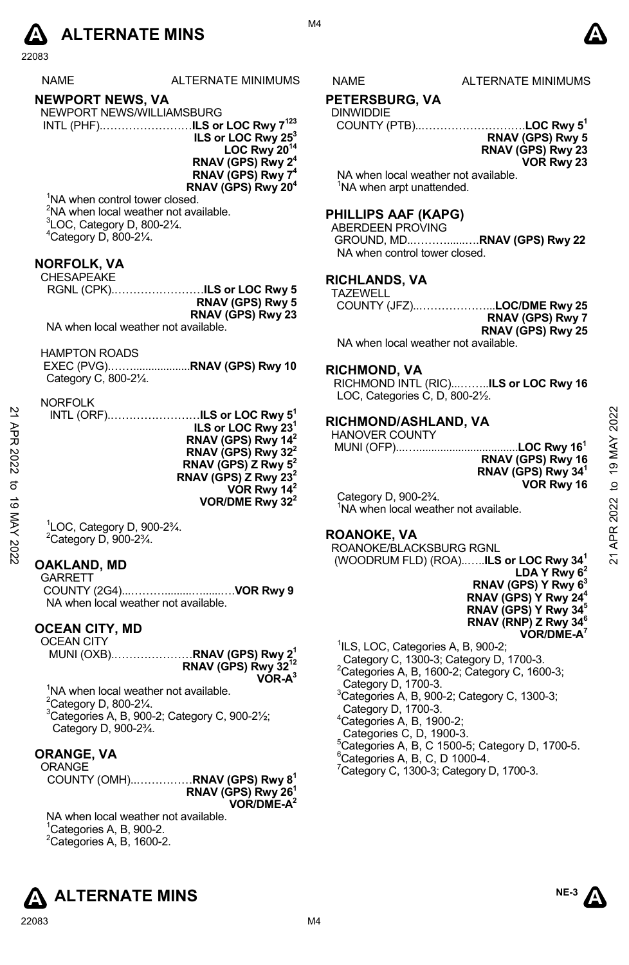

| <b>NAME</b> | <b>ALTERNATE MINIMUM</b> |
|-------------|--------------------------|
|             |                          |

# **NEWPORT NEWS, VA**

| NEWPORT NEWS/WILLIAMSBURG |                                           |
|---------------------------|-------------------------------------------|
|                           | INTL (PHF)ILS or LOC Rwy 7 <sup>123</sup> |

**ILS or LOC Rwy 253 LOC Rwy 2014 RNAV (GPS) Rwy 24 RNAV (GPS) Rwy 74 RNAV (GPS) Rwy 204** 

<sup>1</sup>NA when control tower closed.  $2$ NA when local weather not available.  ${}^{3}$ LOC, Category D, 800-2 $\frac{1}{4}$ . 4 Category D, 800-2¼.

#### **NORFOLK, VA CHESAPEAKE**

| UI ILUAF LANL                        |  |
|--------------------------------------|--|
|                                      |  |
| RNAV (GPS) Rwy 5                     |  |
| RNAV (GPS) Rwy 23                    |  |
| NA when local weather not available. |  |

HAMPTON ROADS

| Category C, 800-21/4. |  |
|-----------------------|--|

| 2<br>2022<br>ಹೆ | INTL (ORF)ILS or LOC Rwy 5 <sup>1</sup><br>ILS or LOC Rwy 23 <sup>1</sup><br>RNAV (GPS) Rwy 14 <sup>2</sup><br>RNAV (GPS) Rwy 32 <sup>2</sup><br>RNAV (GPS) Z Rwy $5^2$<br>RNAV (GPS) Z Rwy $232$<br>VOR Rwy $142$<br>VOR/DME Rwy $32^2$ | RICHMOND/ASHLAND, VA<br><b>HANOVER COUNTY</b><br>$LOC Rwy 161$<br>RNAV (GPS) Rwy 16<br>RNAV (GPS) Rwy 34 <sup>1</sup><br>VOR Rwy 16<br>Category D, 900-2 <sup>3</sup> / <sub>4</sub> .<br>NA when local weather not available. | 2022<br>19 MAY<br>$\mathbf{Q}$<br>2022 |
|-----------------|------------------------------------------------------------------------------------------------------------------------------------------------------------------------------------------------------------------------------------------|--------------------------------------------------------------------------------------------------------------------------------------------------------------------------------------------------------------------------------|----------------------------------------|
| MAY 2022        | $1$ LOC, Category D, 900-2 $\frac{3}{4}$ .<br>$2$ Category D, 900-2 $\frac{3}{4}$ .                                                                                                                                                      | <b>ROANOKE, VA</b><br>ROANOKE/BLACKSBURG RGNL                                                                                                                                                                                  |                                        |
|                 | <b>OAVIAND MD</b>                                                                                                                                                                                                                        | (WOODRUM FLD) (ROA) <b>ILS or LOC Rwy 34<sup>1</sup></b>                                                                                                                                                                       | ম                                      |

### **OAKLAND, MD**

GARRETT COUNTY (2G4)...……….........…......….**VOR Rwy 9**  NA when local weather not available.

# **OCEAN CITY, MD**

OCEAN CITY MUNI (OXB).…………………**RNAV (GPS) Rwy 21 RNAV (GPS) Rwy 3212 VOR-A3**

<sup>1</sup>NA when local weather not available.  $2^2$ Category D, 800-2 $\frac{1}{4}$ .  $3$ Categories A, B, 900-2; Category C, 900-2 $\frac{1}{2}$ ; Category D, 900-2¾.

# **ORANGE, VA**

**ORANGE** COUNTY (OMH)..……………**RNAV (GPS) Rwy 81 RNAV (GPS) Rwy 261 VOR/DME-A2** 

NA when local weather not available.  $1$ Categories A, B, 900-2.  ${}^{2}$ Categories A, B, 1600-2.





M4

S NAME ALTERNATE MINIMUMS

# **PETERSBURG, VA**

DINWIDDIE

COUNTY (PTB)..……………………….**LOC Rwy 51 RNAV (GPS) Rwy 5 RNAV (GPS) Rwy 23** 

<sup>1</sup>NA when arpt unattended.

### **PHILLIPS AAF (KAPG)**

ABERDEEN PROVING GROUND, MD..………......….**RNAV (GPS) Rwy 22**  NA when control tower closed.

#### **RICHLANDS, VA**

|                            | TAZEWELL |
|----------------------------|----------|
| COUNTY (JFZ)LOC/DME Rwy 25 |          |
| RNAV (GPS) Rwy 7           |          |
| RNAV (GPS) Rwy 25          |          |
|                            |          |

NA when local weather not available.

#### **RICHMOND, VA**

RICHMOND INTL (RIC)...……..**ILS or LOC Rwy 16**  LOC, Categories C, D, 800-21/2.

### **RICHMOND/ASHLAND, VA**

| HANOVER COUNTY |                                |
|----------------|--------------------------------|
|                |                                |
|                | RNAV (GPS) Rwy 16              |
|                | RNAV (GPS) Rwy 34 <sup>1</sup> |
|                | VOR Rwy 16                     |

### **ROANOKE, VA**

- (WOODRUM FLD) (ROA)..…..**ILS or LOC Rwy 341 LDA Y Rwy 62 RNAV (GPS) Y Rwy 63 RNAV (GPS) Y Rwy 244 RNAV (GPS) Y Rwy 345 RNAV (RNP) Z Rwy 346 VOR/DME-A7**
- <sup>1</sup>ILS, LOC, Categories A, B, 900-2;
- Category C, 1300-3; Category D, 1700-3.
- $2$ Categories A, B, 1600-2; Category C, 1600-3; Category D, 1700-3.
- 3 Categories A, B, 900-2; Category C, 1300-3; Category D, 1700-3.
- 4 Categories A, B, 1900-2;
- Categories C, D, 1900-3.
- <sup>5</sup>Categories A, B, C 1500-5; Category D, 1700-5.<br><u><sup>6</sup>Categories A, B, C, D 1000-4.</u>
- 
- $7$ Category C, 1300-3; Category D, 1700-3.





NORFOLK

22083 M4



**VOR Rwy 23** 

NA when local weather not available.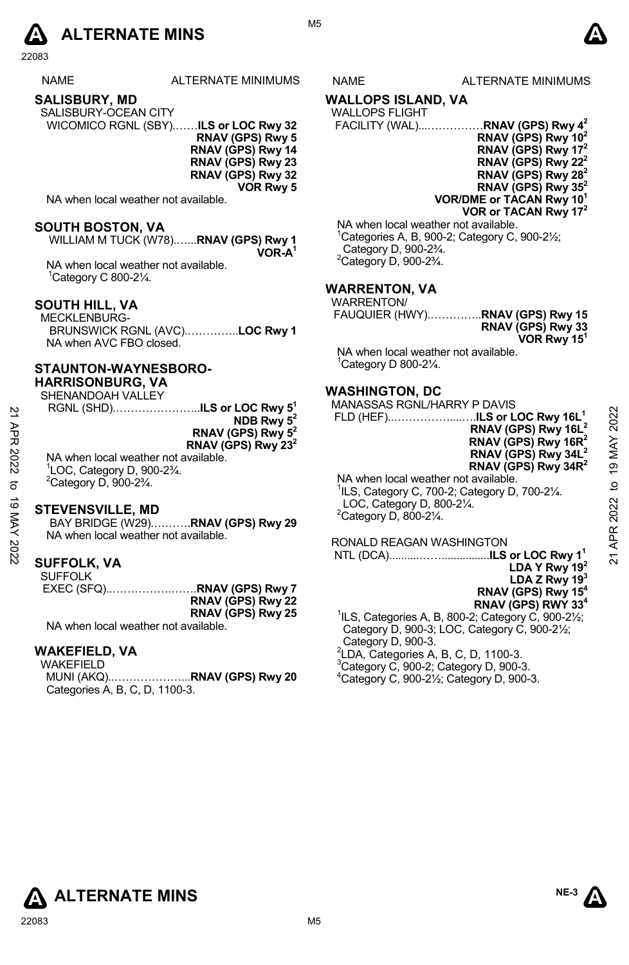

NAME ALTERNATE MINIMUMS NAME ALTERNATE MINIMUMS

#### **SALISBURY, MD**

SALISBURY-OCEAN CITY WICOMICO RGNL (SBY).……**ILS or LOC Rwy 32 RNAV (GPS) Rwy 5** 

**RNAV (GPS) Rwy 14 RNAV (GPS) Rwy 23 RNAV (GPS) Rwy 32 VOR Rwy 5** 

NA when local weather not available.

#### **SOUTH BOSTON, VA**

WILLIAM M TUCK (W78).…...**RNAV (GPS) Rwy 1 VOR-A1** 

NA when local weather not available. 1Category C 800-2¼.

### **SOUTH HILL, VA**

MECKLENBURG-BRUNSWICK RGNL (AVC).…………..**LOC Rwy 1**  NA when AVC FBO closed.

### **STAUNTON-WAYNESBORO-**

**HARRISONBURG, VA** 

| SHENANDOAH VALLEY                       |                               |
|-----------------------------------------|-------------------------------|
| RGNL (SHD)ILS or LOC Rwy 5 <sup>1</sup> |                               |
|                                         | NDB Rwy 5 <sup>2</sup>        |
|                                         | RNAV (GPS) Rwy 5 <sup>2</sup> |
|                                         | $m_{11}$                      |

#### **RNAV (GPS) Rwy**

NA when local weather not available. 1 LOC, Category D, 900-2¾.  $2$ Category D, 900-2 $\frac{3}{4}$ .

#### **STEVENSVILLE, MD**

BAY BRIDGE (W29).……….**RNAV (GPS) Rwy 29**  NA when local weather not available.

### **SUFFOLK, VA**

| <b>SUFFOLK</b> |                   |
|----------------|-------------------|
|                |                   |
|                | RNAV (GPS) Rwy 22 |
|                | RNAV (GPS) Rwy 25 |

NA when local weather not available.

# **WAKEFIELD, VA**

WAKEFIELD MUNI (AKQ)..………………...**RNAV (GPS) Rwy 20**  Categories A, B, C, D, 1100-3.



#### **WALLOPS ISLAND, VA**

### WALLOPS FLIGHT

| FACILITY (WAL)                                        | .RNAV (GPS) Rwy $4^2$                |
|-------------------------------------------------------|--------------------------------------|
|                                                       | RNAV (GPS) Rwy 10 <sup>2</sup>       |
|                                                       | RNAV (GPS) Rwy 17 <sup>2</sup>       |
|                                                       | RNAV (GPS) Rwy $22^2$                |
|                                                       | RNAV (GPS) Rwy 28 <sup>2</sup>       |
|                                                       | RNAV (GPS) Rwy 35 <sup>2</sup>       |
|                                                       | VOR/DME or TACAN Rwy 10 <sup>1</sup> |
|                                                       | VOR or TACAN Rwy 17 <sup>2</sup>     |
| NTA code e de la calciona externa esta acontrata tele |                                      |

NA when local weather not available. 1 Categories A, B, 900-2; Category C, 900-2½; Category D, 900-2¾.  $2$ Category D, 900-2 $\frac{3}{4}$ .

# **WARRENTON, VA**

| .<br><b>WARRENTON/</b>                                                          |
|---------------------------------------------------------------------------------|
| FAUQUIER (HWY)RNAV (GPS) Rwy 15<br>RNAV (GPS) Rwy 33<br>VOR Rwy 15 <sup>1</sup> |
| NA when local weather not available.<br>$1$ Category D 800-2 $\frac{1}{4}$ .    |
| <b>WASHINGTON, DC</b>                                                           |
| MANASSAS RGNL/HARRY P DAVIS                                                     |
| RNAV (GPS) Rwy 16L <sup>2</sup>                                                 |

**RNAV (GPS) Rwy 16R2 RNAV (GPS) Rwy 34L2 RNAV (GPS) Rwy 34R2**  NA when local weather not available. 1 ILS, Category C, 700-2; Category D, 700-2¼. LOC, Category D, 800-2¼.  $2$ Category D, 800-2 $\frac{1}{4}$ .  $RANV (GPS) Rwy 52$ <br>  $RNAV (GPS) Rwy 52$ <br>  $RNAV (GPS) Rwy 52$ <br>  $RNAV (GPS) Rwy 52$ <br>  $RNAV (GPS) Rwy 52$ <br>  $RNAV (GPS) Rwy 53$ <br>  $RNAV (GPS) Rwy 54$ <br>  $RNAV (GPS) Rwy 54$ <br>  $RNAV (GPS) Rwy 54$ <br>  $RNAV (GPS) Rwy 54$ <br>  $RNAV (GPS) Rwy 54$ <br>  $RNAV (GPS) Rwy 54$ <br>  $RNAV (GPS) Rwy 54$ <br>  $RNAV (GPS) Rwy 54$ 

# RONALD REAGAN WASHINGTON

 NTL (DCA)..........……................**ILS or LOC Rwy 11 LDA Y Rwy 192 LDA Z Rwy 193 RNAV (GPS) Rwy 154 RNAV (GPS) RWY 334**  1 ILS, Categories A, B, 800-2; Category C, 900-2½;

Category D, 900-3; LOC, Category C, 900-2½; Category D, 900-3. 2 LDA, Categories A, B, C, D, 1100-3. 3 Category C, 900-2; Category D, 900-3. 4 Category C, 900-2½; Category D, 900-3.

# **ALTERNATE MINS**

22083 M5